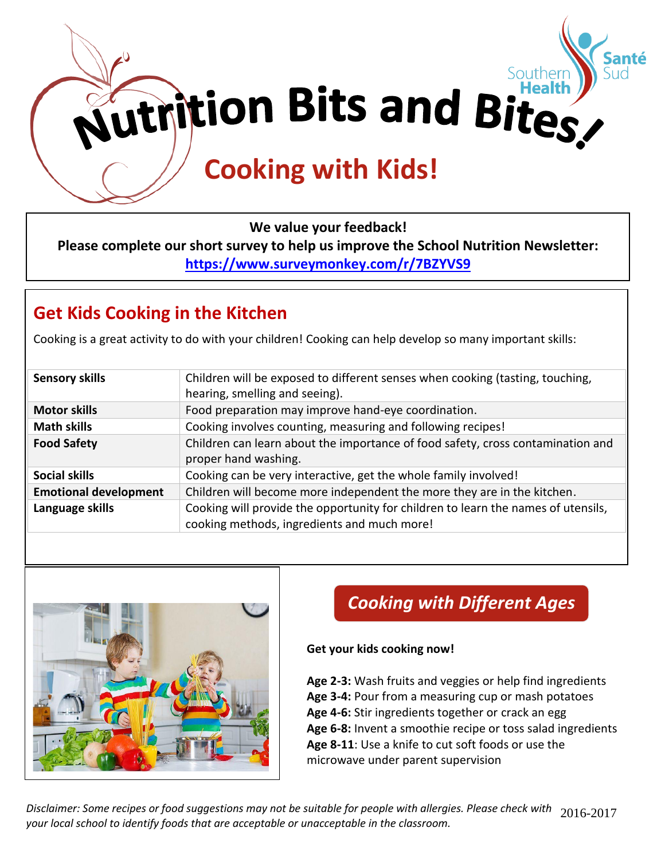

**We value your feedback!**

**Please complete our short survey to help us improve the School Nutrition Newsletter:**

**<https://www.surveymonkey.com/r/7BZYVS9>**

### **Get Kids Cooking in the Kitchen**

Cooking is a great activity to do with your children! Cooking can help develop so many important skills:

| <b>Sensory skills</b>        | Children will be exposed to different senses when cooking (tasting, touching,<br>hearing, smelling and seeing).                  |
|------------------------------|----------------------------------------------------------------------------------------------------------------------------------|
| <b>Motor skills</b>          | Food preparation may improve hand-eye coordination.                                                                              |
| <b>Math skills</b>           | Cooking involves counting, measuring and following recipes!                                                                      |
| <b>Food Safety</b>           | Children can learn about the importance of food safety, cross contamination and<br>proper hand washing.                          |
| <b>Social skills</b>         | Cooking can be very interactive, get the whole family involved!                                                                  |
| <b>Emotional development</b> | Children will become more independent the more they are in the kitchen.                                                          |
| Language skills              | Cooking will provide the opportunity for children to learn the names of utensils,<br>cooking methods, ingredients and much more! |



# *Cooking with Different Ages*

### **Get your kids cooking now!**

**Age 2-3:** Wash fruits and veggies or help find ingredients **Age 3-4:** Pour from a measuring cup or mash potatoes **Age 4-6:** Stir ingredients together or crack an egg **Age 6-8:** Invent a smoothie recipe or toss salad ingredients **Age 8-11**: Use a knife to cut soft foods or use the microwave under parent supervision